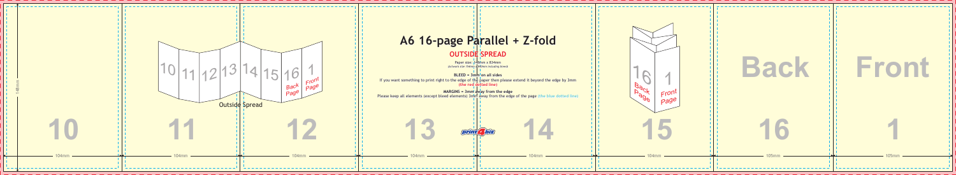